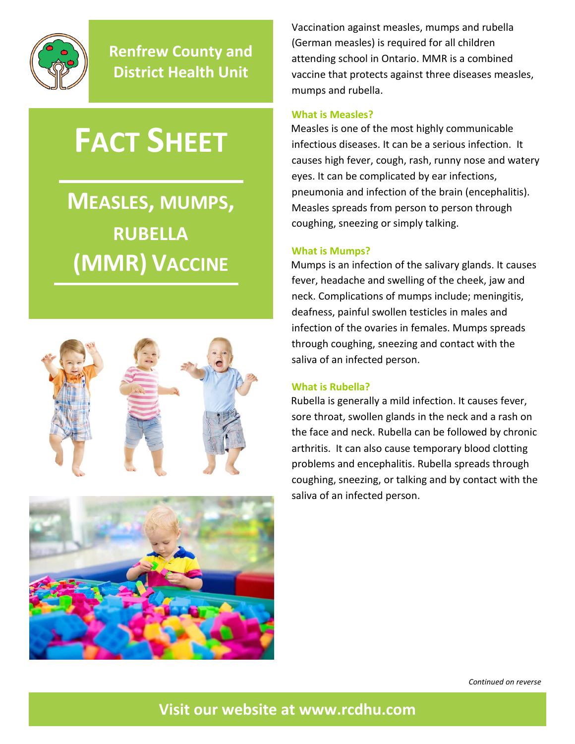

**Renfrew County and District Health Unit**

# **FACT SHEET**

## **MEASLES, MUMPS, RUBELLA (MMR) VACCINE**





Vaccination against measles, mumps and rubella (German measles) is required for all children attending school in Ontario. MMR is a combined vaccine that protects against three diseases measles, mumps and rubella.

#### **What is Measles?**

Measles is one of the most highly communicable infectious diseases. It can be a serious infection. It causes high fever, cough, rash, runny nose and watery eyes. It can be complicated by ear infections, pneumonia and infection of the brain (encephalitis). Measles spreads from person to person through coughing, sneezing or simply talking.

#### **What is Mumps?**

Mumps is an infection of the salivary glands. It causes fever, headache and swelling of the cheek, jaw and neck. Complications of mumps include; meningitis, deafness, painful swollen testicles in males and infection of the ovaries in females. Mumps spreads through coughing, sneezing and contact with the saliva of an infected person.

#### **What is Rubella?**

Rubella is generally a mild infection. It causes fever, sore throat, swollen glands in the neck and a rash on the face and neck. Rubella can be followed by chronic arthritis. It can also cause temporary blood clotting problems and encephalitis. Rubella spreads through coughing, sneezing, or talking and by contact with the saliva of an infected person.

*Continued on reverse*

**Visit our website at [www.rcdhu.com](http://www.rcdhu.com/)**